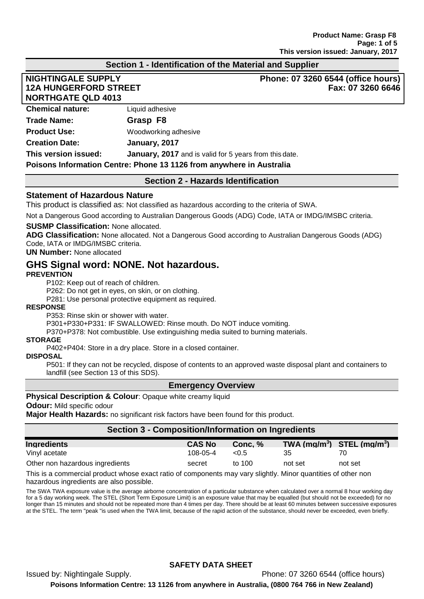#### **Section 1 - Identification of the Material and Supplier**

# **NORTHGATE QLD 4013**

**NIGHTINGALE SUPPLY Phone: 07 3260 6544 (office hours) 12A HUNGERFORD STREET Fax: 07 3260 6646**

| <b>Chemical nature:</b>                                              | Liquid adhesive                                        |  |
|----------------------------------------------------------------------|--------------------------------------------------------|--|
| <b>Trade Name:</b>                                                   | Grasp F8                                               |  |
| <b>Product Use:</b>                                                  | Woodworking adhesive                                   |  |
| <b>Creation Date:</b>                                                | January, 2017                                          |  |
| This version issued:                                                 | January, 2017 and is valid for 5 years from this date. |  |
| Poisons Information Centre: Phone 13 1126 from anywhere in Australia |                                                        |  |
|                                                                      |                                                        |  |

### **Section 2 - Hazards Identification**

#### **Statement of Hazardous Nature**

This product is classified as: Not classified as hazardous according to the criteria of SWA.

Not a Dangerous Good according to Australian Dangerous Goods (ADG) Code, IATA or IMDG/IMSBC criteria.

#### **SUSMP Classification:** None allocated.

**ADG Classification:** None allocated. Not a Dangerous Good according to Australian Dangerous Goods (ADG) Code, IATA or IMDG/IMSBC criteria.

**UN Number:** None allocated

## **GHS Signal word: NONE. Not hazardous.**

#### **PREVENTION**

P102: Keep out of reach of children.

P262: Do not get in eyes, on skin, or on clothing.

P281: Use personal protective equipment as required.

#### **RESPONSE**

P353: Rinse skin or shower with water.

P301+P330+P331: IF SWALLOWED: Rinse mouth. Do NOT induce vomiting.

P370+P378: Not combustible. Use extinguishing media suited to burning materials.

#### **STORAGE**

P402+P404: Store in a dry place. Store in a closed container.

#### **DISPOSAL**

P501: If they can not be recycled, dispose of contents to an approved waste disposal plant and containers to landfill (see Section 13 of this SDS).

#### **Emergency Overview**

#### **Physical Description & Colour: Opaque white creamy liquid**

**Odour:** Mild specific odour

**Major Health Hazards:** no significant risk factors have been found for this product.

# **Section 3 - Composition/Information on Ingredients**

| <b>Ingredients</b>              | <b>CAS No</b> | Conc. $%$ | $TWA$ (mg/m <sup>3</sup> ) STEL (mg/m <sup>3</sup> ) |         |
|---------------------------------|---------------|-----------|------------------------------------------------------|---------|
| Vinyl acetate                   | 108-05-4      | < 0.5     | 35                                                   | 70      |
| Other non hazardous ingredients | secret        | to 100    | not set                                              | not set |
|                                 |               |           |                                                      |         |

This is a commercial product whose exact ratio of components may vary slightly. Minor quantities of other non hazardous ingredients are also possible.

The SWA TWA exposure value is the average airborne concentration of a particular substance when calculated over a normal 8 hour working day for a 5 day working week. The STEL (Short Term Exposure Limit) is an exposure value that may be equalled (but should not be exceeded) for no longer than 15 minutes and should not be repeated more than 4 times per day. There should be at least 60 minutes between successive exposures at the STEL. The term "peak "is used when the TWA limit, because of the rapid action of the substance, should never be exceeded, even briefly.

#### **SAFETY DATA SHEET**

Issued by: Nightingale Supply. Phone: 07 3260 6544 (office hours)

**Poisons Information Centre: 13 1126 from anywhere in Australia, (0800 764 766 in New Zealand)**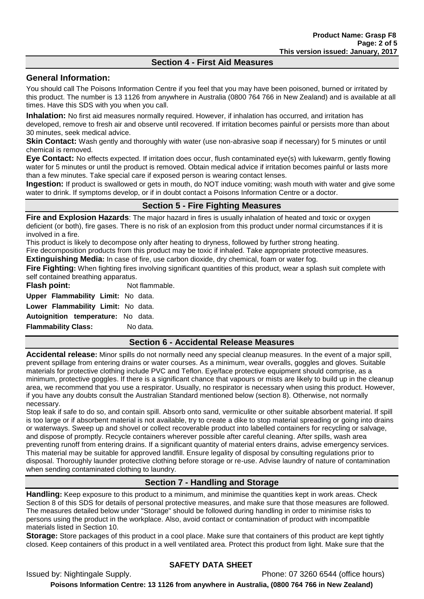#### **Section 4 - First Aid Measures**

#### **General Information:**

You should call The Poisons Information Centre if you feel that you may have been poisoned, burned or irritated by this product. The number is 13 1126 from anywhere in Australia (0800 764 766 in New Zealand) and is available at all times. Have this SDS with you when you call.

**Inhalation:** No first aid measures normally required. However, if inhalation has occurred, and irritation has developed, remove to fresh air and observe until recovered. If irritation becomes painful or persists more than about 30 minutes, seek medical advice.

**Skin Contact:** Wash gently and thoroughly with water (use non-abrasive soap if necessary) for 5 minutes or until chemical is removed.

**Eye Contact:** No effects expected. If irritation does occur, flush contaminated eye(s) with lukewarm, gently flowing water for 5 minutes or until the product is removed. Obtain medical advice if irritation becomes painful or lasts more than a few minutes. Take special care if exposed person is wearing contact lenses.

**Ingestion:** If product is swallowed or gets in mouth, do NOT induce vomiting; wash mouth with water and give some water to drink. If symptoms develop, or if in doubt contact a Poisons Information Centre or a doctor.

#### **Section 5 - Fire Fighting Measures**

**Fire and Explosion Hazards**: The major hazard in fires is usually inhalation of heated and toxic or oxygen deficient (or both), fire gases. There is no risk of an explosion from this product under normal circumstances if it is involved in a fire.

This product is likely to decompose only after heating to dryness, followed by further strong heating.

Fire decomposition products from this product may be toxic if inhaled. Take appropriate protective measures.

**Extinguishing Media:** In case of fire, use carbon dioxide, dry chemical, foam or water fog.

**Fire Fighting:** When fighting fires involving significant quantities of this product, wear a splash suit complete with self contained breathing apparatus.

**Flash point:** Not flammable.

**Upper Flammability Limit:** No data.

**Lower Flammability Limit:** No data.

**Autoignition temperature:** No data.

**Flammability Class:** No data.

#### **Section 6 - Accidental Release Measures**

**Accidental release:** Minor spills do not normally need any special cleanup measures. In the event of a major spill, prevent spillage from entering drains or water courses. As a minimum, wear overalls, goggles and gloves. Suitable materials for protective clothing include PVC and Teflon. Eye/face protective equipment should comprise, as a minimum, protective goggles. If there is a significant chance that vapours or mists are likely to build up in the cleanup area, we recommend that you use a respirator. Usually, no respirator is necessary when using this product. However, if you have any doubts consult the Australian Standard mentioned below (section 8). Otherwise, not normally necessary.

Stop leak if safe to do so, and contain spill. Absorb onto sand, vermiculite or other suitable absorbent material. If spill is too large or if absorbent material is not available, try to create a dike to stop material spreading or going into drains or waterways. Sweep up and shovel or collect recoverable product into labelled containers for recycling or salvage, and dispose of promptly. Recycle containers wherever possible after careful cleaning. After spills, wash area preventing runoff from entering drains. If a significant quantity of material enters drains, advise emergency services. This material may be suitable for approved landfill. Ensure legality of disposal by consulting regulations prior to disposal. Thoroughly launder protective clothing before storage or re-use. Advise laundry of nature of contamination when sending contaminated clothing to laundry.

# **Section 7 - Handling and Storage**

**Handling:** Keep exposure to this product to a minimum, and minimise the quantities kept in work areas. Check Section 8 of this SDS for details of personal protective measures, and make sure that those measures are followed. The measures detailed below under "Storage" should be followed during handling in order to minimise risks to persons using the product in the workplace. Also, avoid contact or contamination of product with incompatible materials listed in Section 10.

**Storage:** Store packages of this product in a cool place. Make sure that containers of this product are kept tightly closed. Keep containers of this product in a well ventilated area. Protect this product from light. Make sure that the

#### **SAFETY DATA SHEET**

Issued by: Nightingale Supply. Phone: 07 3260 6544 (office hours) **Poisons Information Centre: 13 1126 from anywhere in Australia, (0800 764 766 in New Zealand)**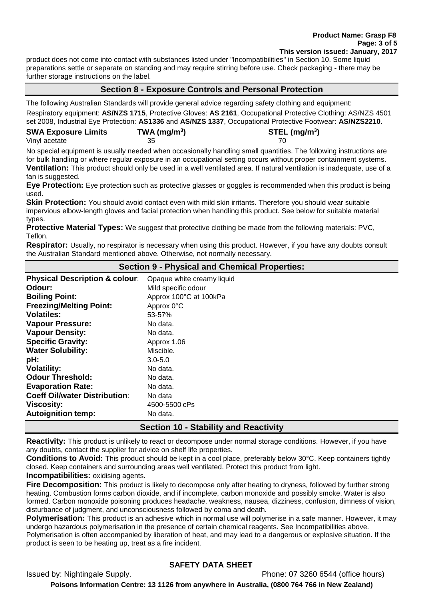product does not come into contact with substances listed under "Incompatibilities" in Section 10. Some liquid preparations settle or separate on standing and may require stirring before use. Check packaging - there may be further storage instructions on the label.

#### **Section 8 - Exposure Controls and Personal Protection**

The following Australian Standards will provide general advice regarding safety clothing and equipment:

Respiratory equipment: **AS/NZS 1715**, Protective Gloves: **AS 2161**, Occupational Protective Clothing: AS/NZS 4501 set 2008, Industrial Eye Protection: **AS1336** and **AS/NZS 1337**, Occupational Protective Footwear: **AS/NZS2210**.

| <b>SWA Exposure Limits</b> | TWA (mg/m <sup>3</sup> ) | $STEL$ (mg/m $^3)$ |
|----------------------------|--------------------------|--------------------|
| Vinyl acetate              |                          |                    |

No special equipment is usually needed when occasionally handling small quantities. The following instructions are for bulk handling or where regular exposure in an occupational setting occurs without proper containment systems. **Ventilation:** This product should only be used in a well ventilated area. If natural ventilation is inadequate, use of a fan is suggested.

**Eye Protection:** Eye protection such as protective glasses or goggles is recommended when this product is being used.

**Skin Protection:** You should avoid contact even with mild skin irritants. Therefore you should wear suitable impervious elbow-length gloves and facial protection when handling this product. See below for suitable material types.

**Protective Material Types:** We suggest that protective clothing be made from the following materials: PVC, Teflon.

**Respirator:** Usually, no respirator is necessary when using this product. However, if you have any doubts consult the Australian Standard mentioned above. Otherwise, not normally necessary.

### **Section 9 - Physical and Chemical Properties:**

**Physical Description & colour**: Opaque white creamy liquid **Odour:** Mild specific odour **Boiling Point:** Approx 100°C at 100kPa **Freezing/Melting Point:** Approx 0°C **Volatiles:** 53-57% **Vapour Pressure:** No data. **Vapour Density:** No data. **Specific Gravity:** Approx 1.06 **Water Solubility:** Miscible. **pH:** 3.0-5.0 **Volatility:** No data. **Odour Threshold:** No data. **Evaporation Rate:** No data. **Coeff Oil/water Distribution**: No data **Viscosity:** 4500-5500 cPs **Autoignition temp:** No data.

# **Section 10 - Stability and Reactivity**

**Reactivity:** This product is unlikely to react or decompose under normal storage conditions. However, if you have any doubts, contact the supplier for advice on shelf life properties.

**Conditions to Avoid:** This product should be kept in a cool place, preferably below 30°C. Keep containers tightly closed. Keep containers and surrounding areas well ventilated. Protect this product from light. **Incompatibilities:** oxidising agents.

**Fire Decomposition:** This product is likely to decompose only after heating to dryness, followed by further strong heating. Combustion forms carbon dioxide, and if incomplete, carbon monoxide and possibly smoke. Water is also formed. Carbon monoxide poisoning produces headache, weakness, nausea, dizziness, confusion, dimness of vision, disturbance of judgment, and unconsciousness followed by coma and death.

**Polymerisation:** This product is an adhesive which in normal use will polymerise in a safe manner. However, it may undergo hazardous polymerisation in the presence of certain chemical reagents. See Incompatibilities above. Polymerisation is often accompanied by liberation of heat, and may lead to a dangerous or explosive situation. If the product is seen to be heating up, treat as a fire incident.

# **SAFETY DATA SHEET**

Issued by: Nightingale Supply. Phone: 07 3260 6544 (office hours)

**Poisons Information Centre: 13 1126 from anywhere in Australia, (0800 764 766 in New Zealand)**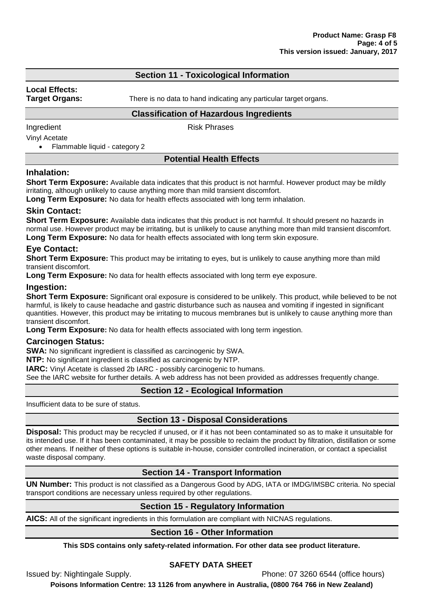## **Section 11 - Toxicological Information**

# **Local Effects:**

**Target Organs:** There is no data to hand indicating any particular target organs.

#### **Classification of Hazardous Ingredients**

Ingredient **Risk Phrases** 

Vinyl Acetate

Flammable liquid - category 2

#### **Potential Health Effects**

#### **Inhalation:**

**Short Term Exposure:** Available data indicates that this product is not harmful. However product may be mildly irritating, although unlikely to cause anything more than mild transient discomfort.

**Long Term Exposure:** No data for health effects associated with long term inhalation.

#### **Skin Contact:**

**Short Term Exposure:** Available data indicates that this product is not harmful. It should present no hazards in normal use. However product may be irritating, but is unlikely to cause anything more than mild transient discomfort. **Long Term Exposure:** No data for health effects associated with long term skin exposure.

### **Eye Contact:**

**Short Term Exposure:** This product may be irritating to eyes, but is unlikely to cause anything more than mild transient discomfort.

**Long Term Exposure:** No data for health effects associated with long term eye exposure.

#### **Ingestion:**

**Short Term Exposure:** Significant oral exposure is considered to be unlikely. This product, while believed to be not harmful, is likely to cause headache and gastric disturbance such as nausea and vomiting if ingested in significant quantities. However, this product may be irritating to mucous membranes but is unlikely to cause anything more than transient discomfort.

**Long Term Exposure:** No data for health effects associated with long term ingestion.

#### **Carcinogen Status:**

**SWA:** No significant ingredient is classified as carcinogenic by SWA.

**NTP:** No significant ingredient is classified as carcinogenic by NTP.

**IARC:** Vinyl Acetate is classed 2b IARC - possibly carcinogenic to humans.

See the IARC website for further details. A web address has not been provided as addresses frequently change.

# **Section 12 - Ecological Information**

Insufficient data to be sure of status.

#### **Section 13 - Disposal Considerations**

**Disposal:** This product may be recycled if unused, or if it has not been contaminated so as to make it unsuitable for its intended use. If it has been contaminated, it may be possible to reclaim the product by filtration, distillation or some other means. If neither of these options is suitable in-house, consider controlled incineration, or contact a specialist waste disposal company.

# **Section 14 - Transport Information**

**UN Number:** This product is not classified as a Dangerous Good by ADG, IATA or IMDG/IMSBC criteria. No special transport conditions are necessary unless required by other regulations.

#### **Section 15 - Regulatory Information**

**AICS:** All of the significant ingredients in this formulation are compliant with NICNAS regulations.

#### **Section 16 - Other Information**

**This SDS contains only safety-related information. For other data see product literature.**

#### **SAFETY DATA SHEET**

Issued by: Nightingale Supply. Phone: 07 3260 6544 (office hours)

**Poisons Information Centre: 13 1126 from anywhere in Australia, (0800 764 766 in New Zealand)**